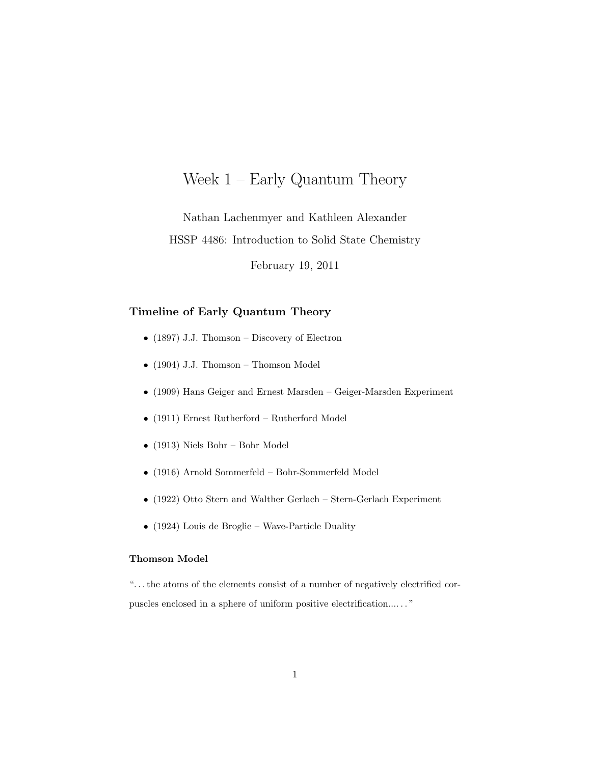# Week 1 – Early Quantum Theory

Nathan Lachenmyer and Kathleen Alexander HSSP 4486: Introduction to Solid State Chemistry

February 19, 2011

## Timeline of Early Quantum Theory

- $(1897)$  J.J. Thomson Discovery of Electron
- (1904) J.J. Thomson Thomson Model
- (1909) Hans Geiger and Ernest Marsden Geiger-Marsden Experiment
- (1911) Ernest Rutherford Rutherford Model
- (1913) Niels Bohr Bohr Model
- (1916) Arnold Sommerfeld Bohr-Sommerfeld Model
- (1922) Otto Stern and Walther Gerlach Stern-Gerlach Experiment
- (1924) Louis de Broglie Wave-Particle Duality

### Thomson Model

". . . the atoms of the elements consist of a number of negatively electrified corpuscles enclosed in a sphere of uniform positive electrification.... . . "